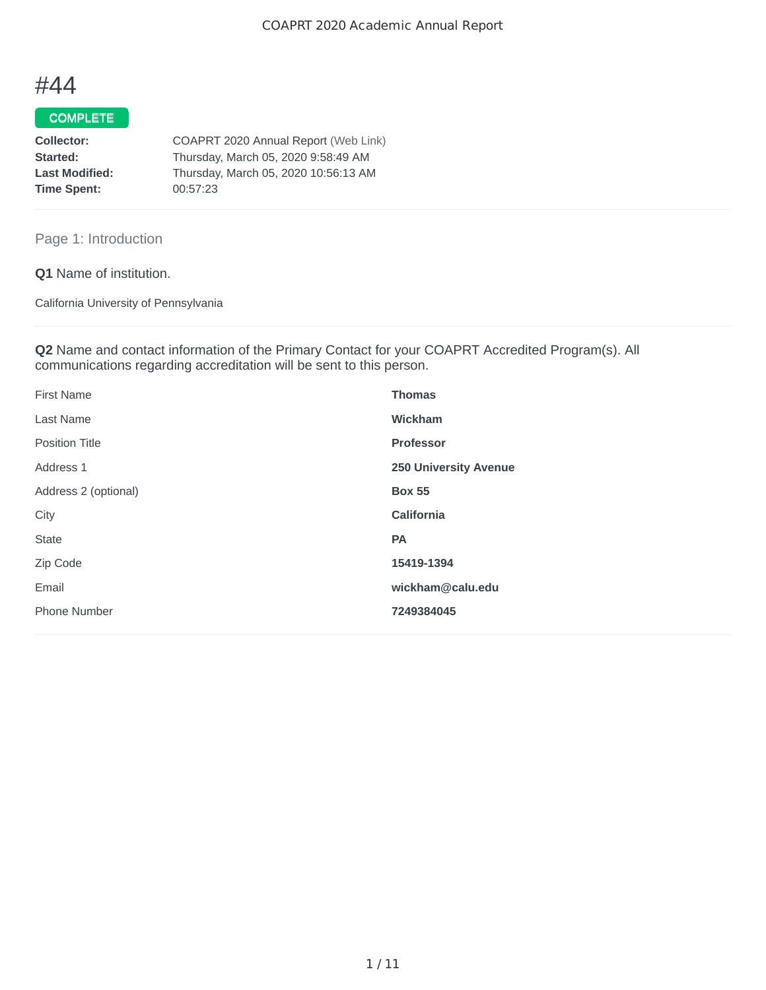# #44

# COMPLETE

| COAPRT 2020 Annual Report (Web Link) |
|--------------------------------------|
| Thursday, March 05, 2020 9:58:49 AM  |
| Thursday, March 05, 2020 10:56:13 AM |
| 00:57:23                             |
|                                      |

# Page 1: Introduction

**Q1** Name of institution.

California University of Pennsylvania

**Q2** Name and contact information of the Primary Contact for your COAPRT Accredited Program(s). All communications regarding accreditation will be sent to this person.

| <b>First Name</b>     | <b>Thomas</b>                |
|-----------------------|------------------------------|
| <b>Last Name</b>      | <b>Wickham</b>               |
| <b>Position Title</b> | <b>Professor</b>             |
| Address 1             | <b>250 University Avenue</b> |
| Address 2 (optional)  | <b>Box 55</b>                |
| City                  | California                   |
| <b>State</b>          | PA                           |
| Zip Code              | 15419-1394                   |
| Email                 | wickham@calu.edu             |
| <b>Phone Number</b>   | 7249384045                   |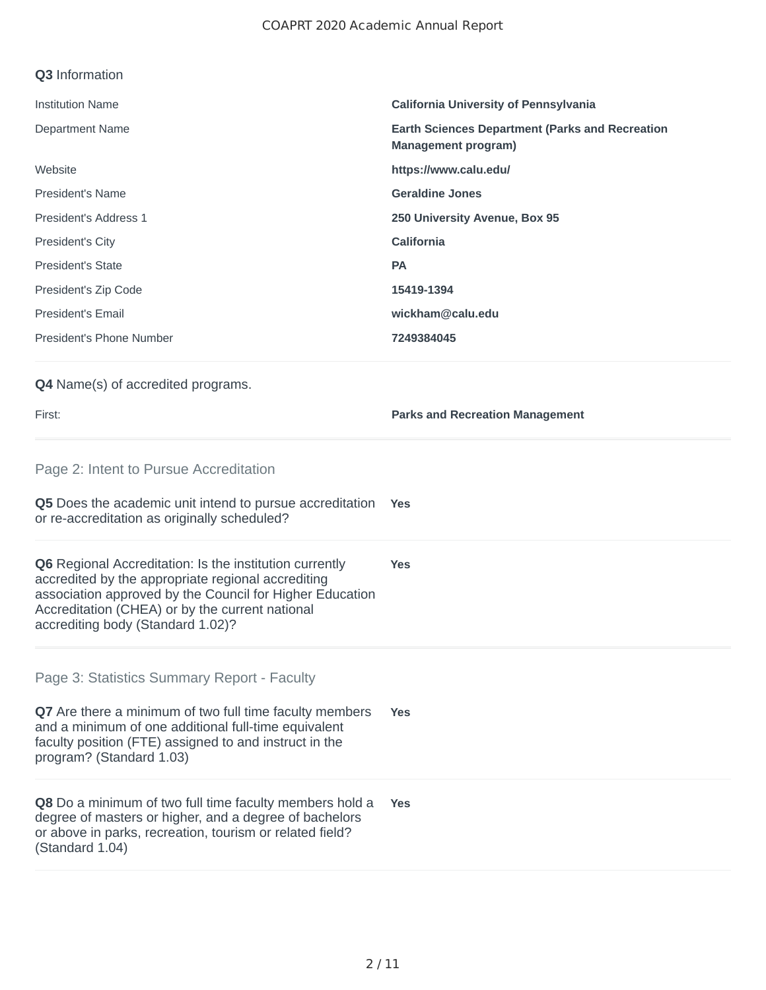### **Q3** Information

| <b>Institution Name</b>                   | <b>California University of Pennsylvania</b>                                         |
|-------------------------------------------|--------------------------------------------------------------------------------------|
| <b>Department Name</b>                    | <b>Earth Sciences Department (Parks and Recreation</b><br><b>Management program)</b> |
| Website                                   | https://www.calu.edu/                                                                |
| <b>President's Name</b>                   | <b>Geraldine Jones</b>                                                               |
| President's Address 1                     | 250 University Avenue, Box 95                                                        |
| <b>President's City</b>                   | California                                                                           |
| <b>President's State</b>                  | <b>PA</b>                                                                            |
| President's Zip Code                      | 15419-1394                                                                           |
| <b>President's Email</b>                  | wickham@calu.edu                                                                     |
| President's Phone Number                  | 7249384045                                                                           |
| <b>Q4</b> Name(s) of accredited programs. |                                                                                      |

First: **Parks and Recreation Management**

Page 2: Intent to Pursue Accreditation

**Q5** Does the academic unit intend to pursue accreditation or re-accreditation as originally scheduled? **Yes**

**Q6** Regional Accreditation: Is the institution currently accredited by the appropriate regional accrediting association approved by the Council for Higher Education Accreditation (CHEA) or by the current national accrediting body (Standard 1.02)? **Yes**

Page 3: Statistics Summary Report - Faculty

**Q7** Are there a minimum of two full time faculty members and a minimum of one additional full-time equivalent faculty position (FTE) assigned to and instruct in the program? (Standard 1.03) **Yes**

**Q8** Do a minimum of two full time faculty members hold a degree of masters or higher, and a degree of bachelors or above in parks, recreation, tourism or related field? (Standard 1.04) **Yes**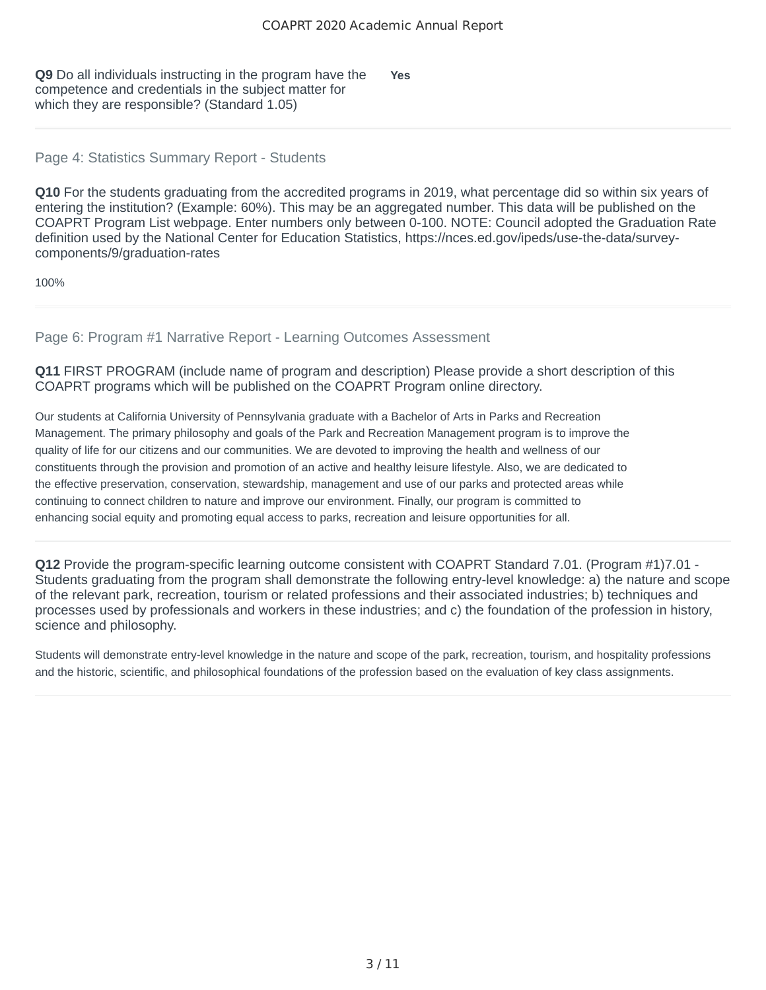**Q9** Do all individuals instructing in the program have the competence and credentials in the subject matter for which they are responsible? (Standard 1.05) **Yes**

## Page 4: Statistics Summary Report - Students

**Q10** For the students graduating from the accredited programs in 2019, what percentage did so within six years of entering the institution? (Example: 60%). This may be an aggregated number. This data will be published on the COAPRT Program List webpage. Enter numbers only between 0-100. NOTE: Council adopted the Graduation Rate definition used by the National Center for Education Statistics, https://nces.ed.gov/ipeds/use-the-data/surveycomponents/9/graduation-rates

100%

Page 6: Program #1 Narrative Report - Learning Outcomes Assessment

**Q11** FIRST PROGRAM (include name of program and description) Please provide a short description of this COAPRT programs which will be published on the COAPRT Program online directory.

Our students at California University of Pennsylvania graduate with a Bachelor of Arts in Parks and Recreation Management. The primary philosophy and goals of the Park and Recreation Management program is to improve the quality of life for our citizens and our communities. We are devoted to improving the health and wellness of our constituents through the provision and promotion of an active and healthy leisure lifestyle. Also, we are dedicated to the effective preservation, conservation, stewardship, management and use of our parks and protected areas while continuing to connect children to nature and improve our environment. Finally, our program is committed to enhancing social equity and promoting equal access to parks, recreation and leisure opportunities for all.

**Q12** Provide the program-specific learning outcome consistent with COAPRT Standard 7.01. (Program #1)7.01 - Students graduating from the program shall demonstrate the following entry-level knowledge: a) the nature and scope of the relevant park, recreation, tourism or related professions and their associated industries; b) techniques and processes used by professionals and workers in these industries; and c) the foundation of the profession in history, science and philosophy.

Students will demonstrate entry-level knowledge in the nature and scope of the park, recreation, tourism, and hospitality professions and the historic, scientific, and philosophical foundations of the profession based on the evaluation of key class assignments.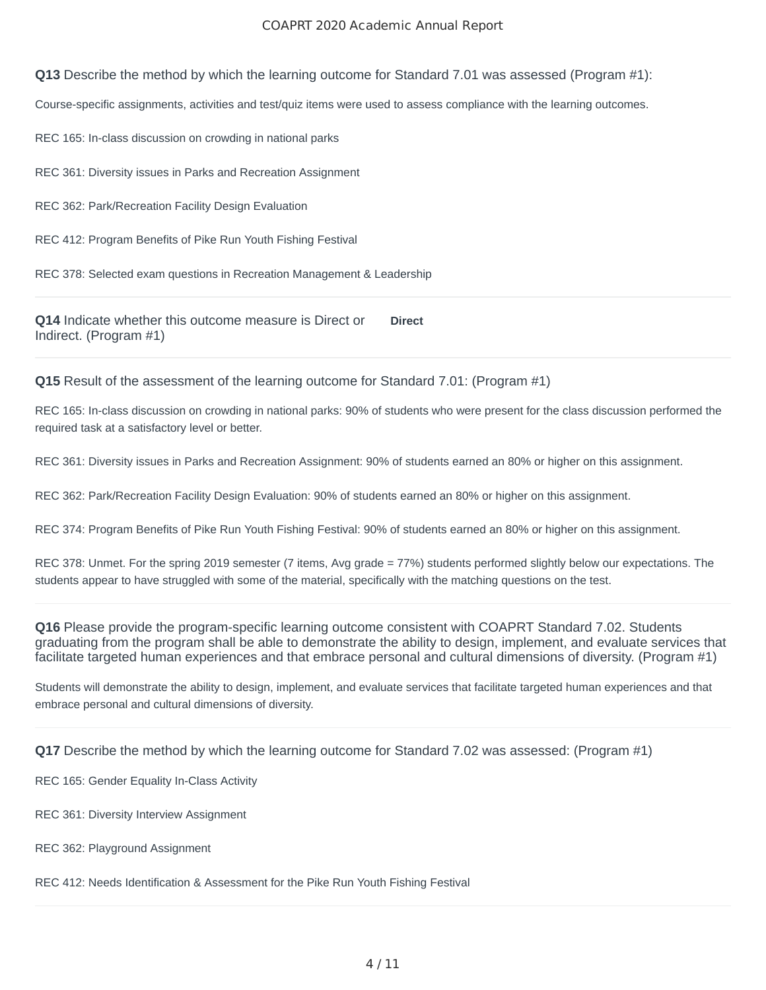#### COAPRT 2020 Academic Annual Report

**Q13** Describe the method by which the learning outcome for Standard 7.01 was assessed (Program #1):

Course-specific assignments, activities and test/quiz items were used to assess compliance with the learning outcomes.

REC 165: In-class discussion on crowding in national parks

REC 361: Diversity issues in Parks and Recreation Assignment

REC 362: Park/Recreation Facility Design Evaluation

REC 412: Program Benefits of Pike Run Youth Fishing Festival

REC 378: Selected exam questions in Recreation Management & Leadership

**Q14** Indicate whether this outcome measure is Direct or Indirect. (Program #1) **Direct**

**Q15** Result of the assessment of the learning outcome for Standard 7.01: (Program #1)

REC 165: In-class discussion on crowding in national parks: 90% of students who were present for the class discussion performed the required task at a satisfactory level or better.

REC 361: Diversity issues in Parks and Recreation Assignment: 90% of students earned an 80% or higher on this assignment.

REC 362: Park/Recreation Facility Design Evaluation: 90% of students earned an 80% or higher on this assignment.

REC 374: Program Benefits of Pike Run Youth Fishing Festival: 90% of students earned an 80% or higher on this assignment.

REC 378: Unmet. For the spring 2019 semester (7 items, Avg grade = 77%) students performed slightly below our expectations. The students appear to have struggled with some of the material, specifically with the matching questions on the test.

**Q16** Please provide the program-specific learning outcome consistent with COAPRT Standard 7.02. Students graduating from the program shall be able to demonstrate the ability to design, implement, and evaluate services that facilitate targeted human experiences and that embrace personal and cultural dimensions of diversity. (Program #1)

Students will demonstrate the ability to design, implement, and evaluate services that facilitate targeted human experiences and that embrace personal and cultural dimensions of diversity.

**Q17** Describe the method by which the learning outcome for Standard 7.02 was assessed: (Program #1)

REC 165: Gender Equality In-Class Activity

REC 361: Diversity Interview Assignment

REC 362: Playground Assignment

REC 412: Needs Identification & Assessment for the Pike Run Youth Fishing Festival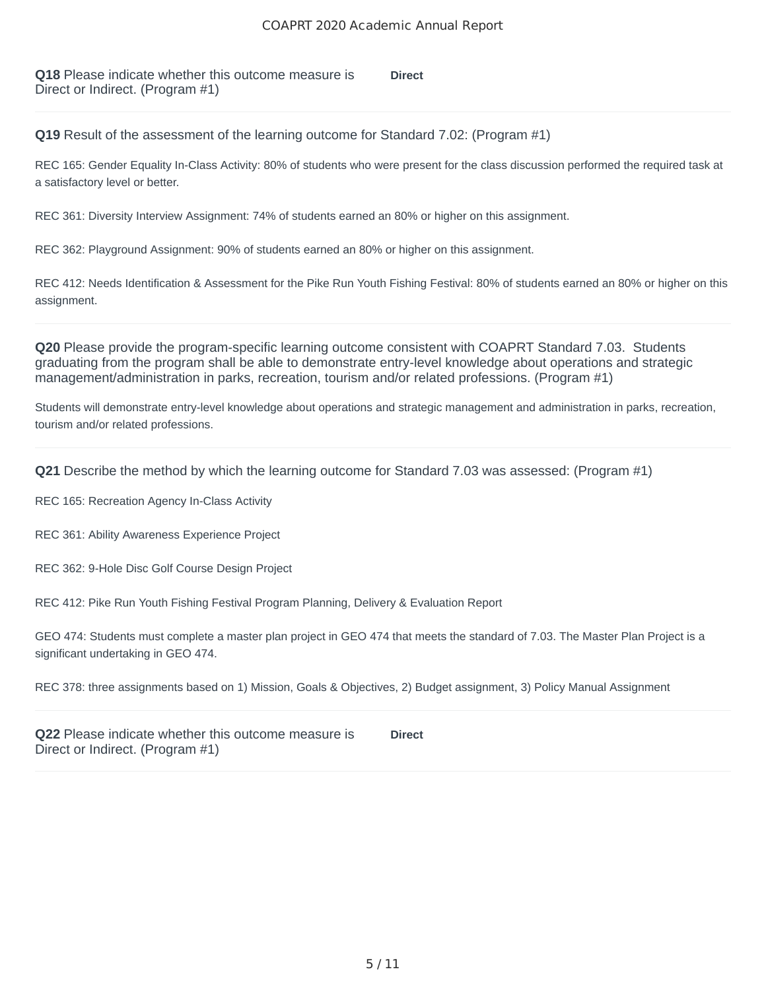**Q18** Please indicate whether this outcome measure is Direct or Indirect. (Program #1) **Direct**

**Q19** Result of the assessment of the learning outcome for Standard 7.02: (Program #1)

REC 165: Gender Equality In-Class Activity: 80% of students who were present for the class discussion performed the required task at a satisfactory level or better.

REC 361: Diversity Interview Assignment: 74% of students earned an 80% or higher on this assignment.

REC 362: Playground Assignment: 90% of students earned an 80% or higher on this assignment.

REC 412: Needs Identification & Assessment for the Pike Run Youth Fishing Festival: 80% of students earned an 80% or higher on this assignment.

**Q20** Please provide the program-specific learning outcome consistent with COAPRT Standard 7.03. Students graduating from the program shall be able to demonstrate entry-level knowledge about operations and strategic management/administration in parks, recreation, tourism and/or related professions. (Program #1)

Students will demonstrate entry-level knowledge about operations and strategic management and administration in parks, recreation, tourism and/or related professions.

**Q21** Describe the method by which the learning outcome for Standard 7.03 was assessed: (Program #1)

REC 165: Recreation Agency In-Class Activity

REC 361: Ability Awareness Experience Project

REC 362: 9-Hole Disc Golf Course Design Project

REC 412: Pike Run Youth Fishing Festival Program Planning, Delivery & Evaluation Report

GEO 474: Students must complete a master plan project in GEO 474 that meets the standard of 7.03. The Master Plan Project is a significant undertaking in GEO 474.

REC 378: three assignments based on 1) Mission, Goals & Objectives, 2) Budget assignment, 3) Policy Manual Assignment

**Q22** Please indicate whether this outcome measure is Direct or Indirect. (Program #1) **Direct**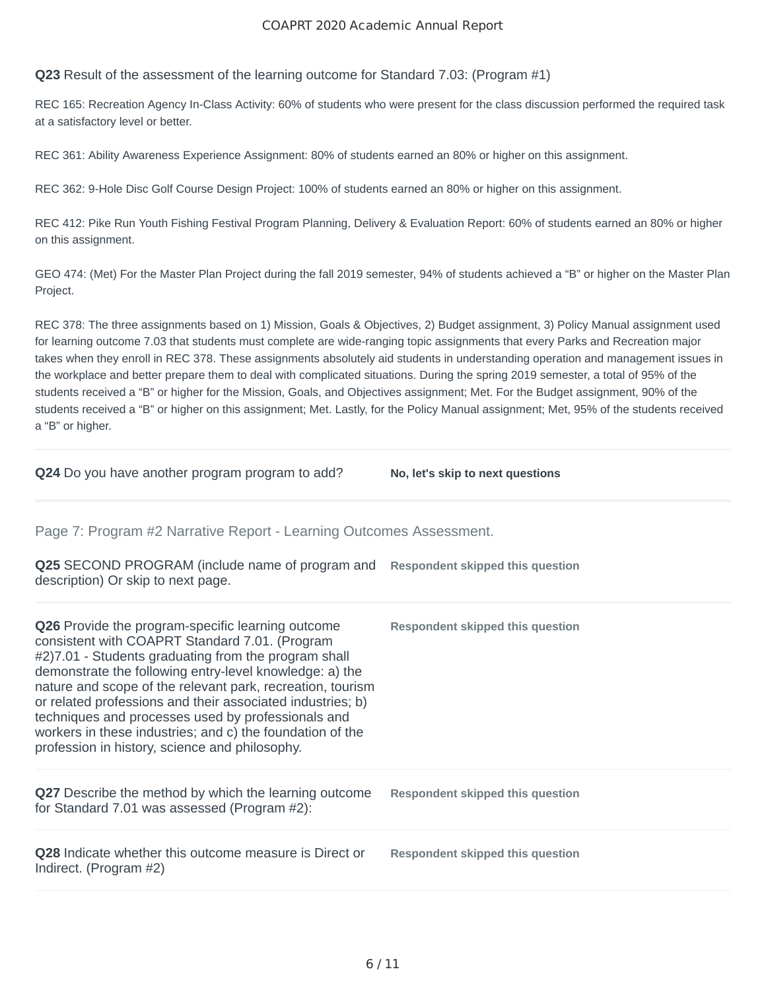#### COAPRT 2020 Academic Annual Report

**Q23** Result of the assessment of the learning outcome for Standard 7.03: (Program #1)

REC 165: Recreation Agency In-Class Activity: 60% of students who were present for the class discussion performed the required task at a satisfactory level or better.

REC 361: Ability Awareness Experience Assignment: 80% of students earned an 80% or higher on this assignment.

REC 362: 9-Hole Disc Golf Course Design Project: 100% of students earned an 80% or higher on this assignment.

REC 412: Pike Run Youth Fishing Festival Program Planning, Delivery & Evaluation Report: 60% of students earned an 80% or higher on this assignment.

GEO 474: (Met) For the Master Plan Project during the fall 2019 semester, 94% of students achieved a "B" or higher on the Master Plan Project.

REC 378: The three assignments based on 1) Mission, Goals & Objectives, 2) Budget assignment, 3) Policy Manual assignment used for learning outcome 7.03 that students must complete are wide-ranging topic assignments that every Parks and Recreation major takes when they enroll in REC 378. These assignments absolutely aid students in understanding operation and management issues in the workplace and better prepare them to deal with complicated situations. During the spring 2019 semester, a total of 95% of the students received a "B" or higher for the Mission, Goals, and Objectives assignment; Met. For the Budget assignment, 90% of the students received a "B" or higher on this assignment; Met. Lastly, for the Policy Manual assignment; Met, 95% of the students received a "B" or higher.

**Q24** Do you have another program program to add? No, let's skip to next questions

Page 7: Program #2 Narrative Report - Learning Outcomes Assessment.

| <b>Q25</b> SECOND PROGRAM (include name of program and<br>description) Or skip to next page.                                                                                                                                                                                                                                                                                                                                                                                                                                   | Respondent skipped this question        |
|--------------------------------------------------------------------------------------------------------------------------------------------------------------------------------------------------------------------------------------------------------------------------------------------------------------------------------------------------------------------------------------------------------------------------------------------------------------------------------------------------------------------------------|-----------------------------------------|
| <b>Q26</b> Provide the program-specific learning outcome<br>consistent with COAPRT Standard 7.01. (Program<br>#2)7.01 - Students graduating from the program shall<br>demonstrate the following entry-level knowledge: a) the<br>nature and scope of the relevant park, recreation, tourism<br>or related professions and their associated industries; b)<br>techniques and processes used by professionals and<br>workers in these industries; and c) the foundation of the<br>profession in history, science and philosophy. | <b>Respondent skipped this question</b> |
| <b>Q27</b> Describe the method by which the learning outcome<br>for Standard 7.01 was assessed (Program #2):                                                                                                                                                                                                                                                                                                                                                                                                                   | <b>Respondent skipped this question</b> |
| Q28 Indicate whether this outcome measure is Direct or<br>Indirect. (Program #2)                                                                                                                                                                                                                                                                                                                                                                                                                                               | <b>Respondent skipped this question</b> |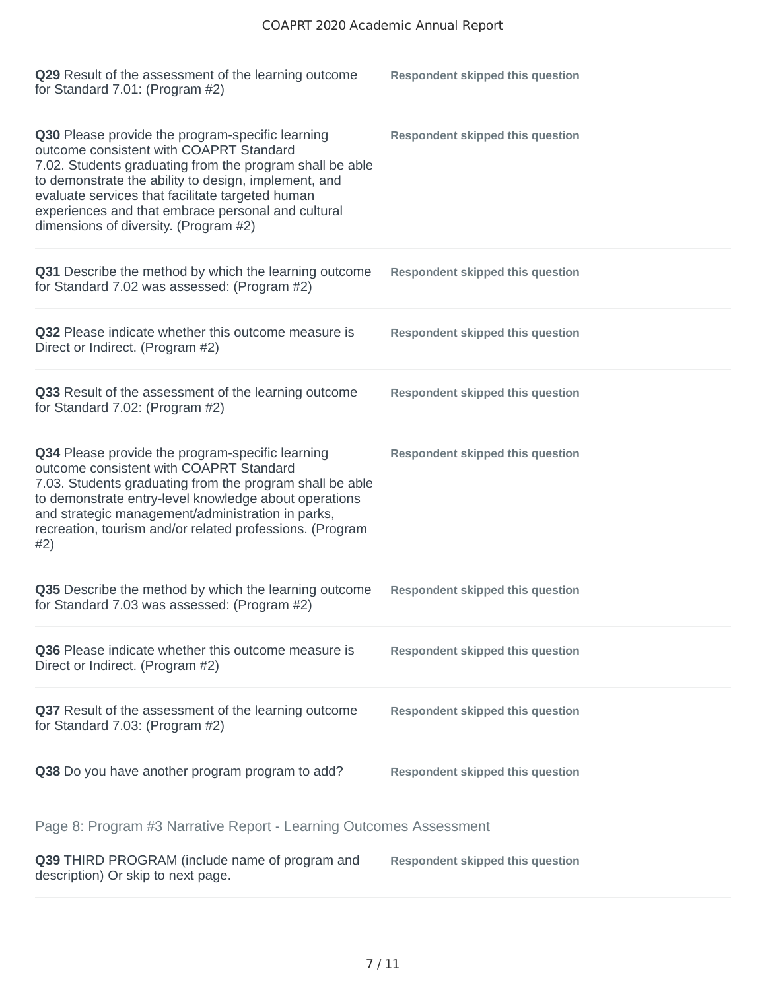| Q29 Result of the assessment of the learning outcome<br>for Standard 7.01: (Program $#2$ )                                                                                                                                                                                                                                                                         | <b>Respondent skipped this question</b> |
|--------------------------------------------------------------------------------------------------------------------------------------------------------------------------------------------------------------------------------------------------------------------------------------------------------------------------------------------------------------------|-----------------------------------------|
| Q30 Please provide the program-specific learning<br>outcome consistent with COAPRT Standard<br>7.02. Students graduating from the program shall be able<br>to demonstrate the ability to design, implement, and<br>evaluate services that facilitate targeted human<br>experiences and that embrace personal and cultural<br>dimensions of diversity. (Program #2) | <b>Respondent skipped this question</b> |
| Q31 Describe the method by which the learning outcome<br>for Standard 7.02 was assessed: (Program #2)                                                                                                                                                                                                                                                              | <b>Respondent skipped this question</b> |
| Q32 Please indicate whether this outcome measure is<br>Direct or Indirect. (Program #2)                                                                                                                                                                                                                                                                            | <b>Respondent skipped this question</b> |
| Q33 Result of the assessment of the learning outcome<br>for Standard 7.02: (Program #2)                                                                                                                                                                                                                                                                            | <b>Respondent skipped this question</b> |
| Q34 Please provide the program-specific learning<br>outcome consistent with COAPRT Standard<br>7.03. Students graduating from the program shall be able<br>to demonstrate entry-level knowledge about operations<br>and strategic management/administration in parks,<br>recreation, tourism and/or related professions. (Program<br>#2)                           | <b>Respondent skipped this question</b> |
| Q35 Describe the method by which the learning outcome<br>for Standard 7.03 was assessed: (Program #2)                                                                                                                                                                                                                                                              | <b>Respondent skipped this question</b> |
| Q36 Please indicate whether this outcome measure is<br>Direct or Indirect. (Program #2)                                                                                                                                                                                                                                                                            | <b>Respondent skipped this question</b> |
| Q37 Result of the assessment of the learning outcome<br>for Standard 7.03: (Program #2)                                                                                                                                                                                                                                                                            | <b>Respondent skipped this question</b> |
| Q38 Do you have another program program to add?                                                                                                                                                                                                                                                                                                                    | <b>Respondent skipped this question</b> |
| Page 8: Program #3 Narrative Report - Learning Outcomes Assessment                                                                                                                                                                                                                                                                                                 |                                         |

**Q39** THIRD PROGRAM (include name of program and description) Or skip to next page. **Respondent skipped this question**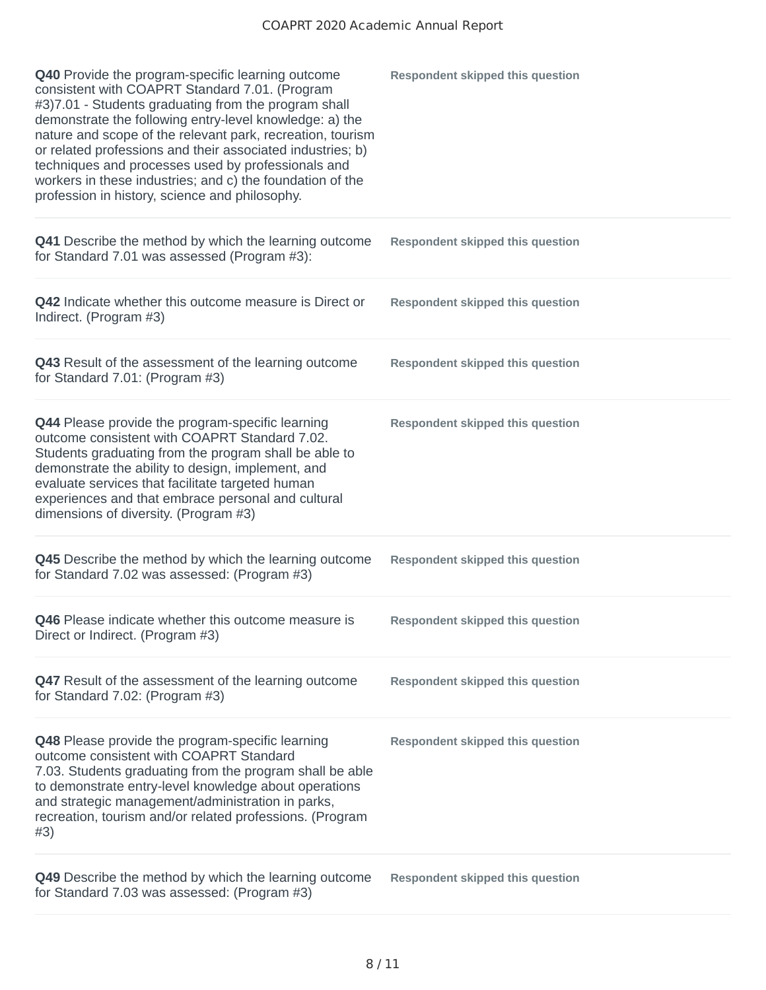| Q40 Provide the program-specific learning outcome<br>consistent with COAPRT Standard 7.01. (Program<br>#3)7.01 - Students graduating from the program shall<br>demonstrate the following entry-level knowledge: a) the<br>nature and scope of the relevant park, recreation, tourism<br>or related professions and their associated industries; b)<br>techniques and processes used by professionals and<br>workers in these industries; and c) the foundation of the<br>profession in history, science and philosophy. | <b>Respondent skipped this question</b> |
|-------------------------------------------------------------------------------------------------------------------------------------------------------------------------------------------------------------------------------------------------------------------------------------------------------------------------------------------------------------------------------------------------------------------------------------------------------------------------------------------------------------------------|-----------------------------------------|
| Q41 Describe the method by which the learning outcome<br>for Standard 7.01 was assessed (Program #3):                                                                                                                                                                                                                                                                                                                                                                                                                   | <b>Respondent skipped this question</b> |
| Q42 Indicate whether this outcome measure is Direct or<br>Indirect. (Program #3)                                                                                                                                                                                                                                                                                                                                                                                                                                        | <b>Respondent skipped this question</b> |
| Q43 Result of the assessment of the learning outcome<br>for Standard 7.01: (Program $#3$ )                                                                                                                                                                                                                                                                                                                                                                                                                              | <b>Respondent skipped this question</b> |
| Q44 Please provide the program-specific learning<br>outcome consistent with COAPRT Standard 7.02.<br>Students graduating from the program shall be able to<br>demonstrate the ability to design, implement, and<br>evaluate services that facilitate targeted human<br>experiences and that embrace personal and cultural<br>dimensions of diversity. (Program #3)                                                                                                                                                      | <b>Respondent skipped this question</b> |
| Q45 Describe the method by which the learning outcome<br>for Standard 7.02 was assessed: (Program #3)                                                                                                                                                                                                                                                                                                                                                                                                                   | <b>Respondent skipped this question</b> |
| Q46 Please indicate whether this outcome measure is<br>Direct or Indirect. (Program #3)                                                                                                                                                                                                                                                                                                                                                                                                                                 | <b>Respondent skipped this question</b> |
| Q47 Result of the assessment of the learning outcome<br>for Standard 7.02: (Program #3)                                                                                                                                                                                                                                                                                                                                                                                                                                 | <b>Respondent skipped this question</b> |
| Q48 Please provide the program-specific learning<br>outcome consistent with COAPRT Standard<br>7.03. Students graduating from the program shall be able<br>to demonstrate entry-level knowledge about operations<br>and strategic management/administration in parks,<br>recreation, tourism and/or related professions. (Program<br>#3)                                                                                                                                                                                | <b>Respondent skipped this question</b> |
| Q49 Describe the method by which the learning outcome<br>for Standard 7.03 was assessed: (Program #3)                                                                                                                                                                                                                                                                                                                                                                                                                   | <b>Respondent skipped this question</b> |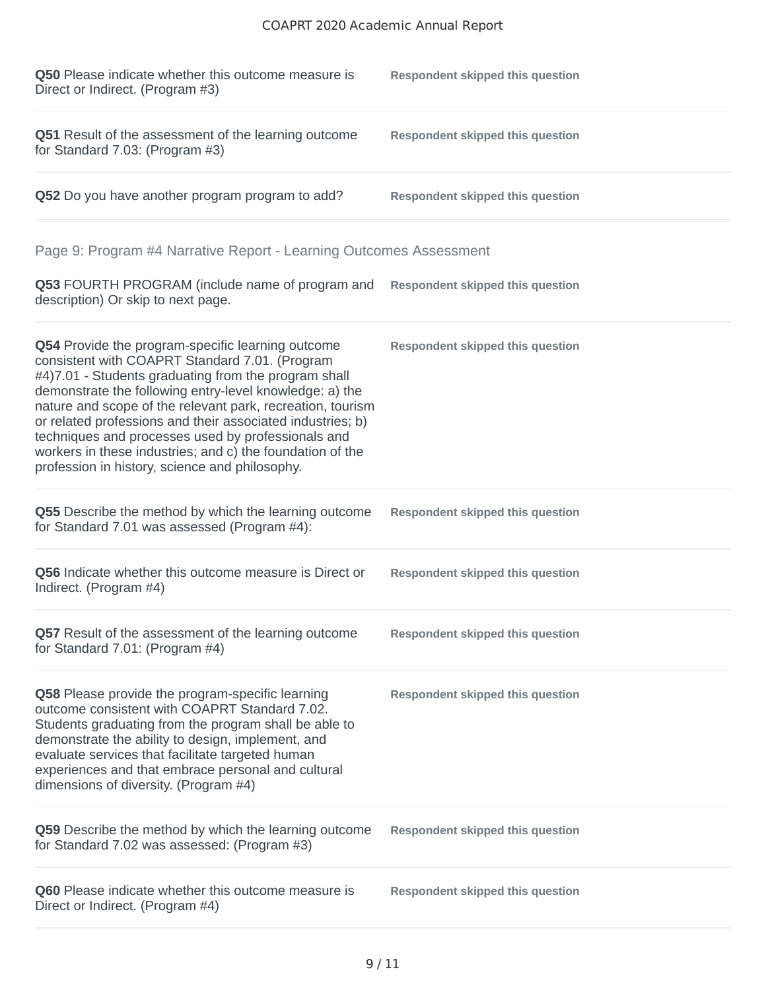| Q50 Please indicate whether this outcome measure is<br>Direct or Indirect. (Program #3)                                                                                                                                                                                                                                                                                                                                                                                                                                 | <b>Respondent skipped this question</b> |
|-------------------------------------------------------------------------------------------------------------------------------------------------------------------------------------------------------------------------------------------------------------------------------------------------------------------------------------------------------------------------------------------------------------------------------------------------------------------------------------------------------------------------|-----------------------------------------|
| <b>Q51</b> Result of the assessment of the learning outcome<br>for Standard 7.03: (Program #3)                                                                                                                                                                                                                                                                                                                                                                                                                          | <b>Respondent skipped this question</b> |
| Q52 Do you have another program program to add?                                                                                                                                                                                                                                                                                                                                                                                                                                                                         | <b>Respondent skipped this question</b> |
| Page 9: Program #4 Narrative Report - Learning Outcomes Assessment                                                                                                                                                                                                                                                                                                                                                                                                                                                      |                                         |
| <b>Q53 FOURTH PROGRAM</b> (include name of program and<br>description) Or skip to next page.                                                                                                                                                                                                                                                                                                                                                                                                                            | <b>Respondent skipped this question</b> |
| Q54 Provide the program-specific learning outcome<br>consistent with COAPRT Standard 7.01. (Program<br>#4)7.01 - Students graduating from the program shall<br>demonstrate the following entry-level knowledge: a) the<br>nature and scope of the relevant park, recreation, tourism<br>or related professions and their associated industries; b)<br>techniques and processes used by professionals and<br>workers in these industries; and c) the foundation of the<br>profession in history, science and philosophy. | <b>Respondent skipped this question</b> |
| Q55 Describe the method by which the learning outcome<br>for Standard 7.01 was assessed (Program #4):                                                                                                                                                                                                                                                                                                                                                                                                                   | <b>Respondent skipped this question</b> |
| Q56 Indicate whether this outcome measure is Direct or<br>Indirect. (Program #4)                                                                                                                                                                                                                                                                                                                                                                                                                                        | <b>Respondent skipped this question</b> |
| Q57 Result of the assessment of the learning outcome<br>for Standard 7.01: (Program $#4$ )                                                                                                                                                                                                                                                                                                                                                                                                                              | <b>Respondent skipped this question</b> |
| Q58 Please provide the program-specific learning<br>outcome consistent with COAPRT Standard 7.02.<br>Students graduating from the program shall be able to<br>demonstrate the ability to design, implement, and<br>evaluate services that facilitate targeted human<br>experiences and that embrace personal and cultural<br>dimensions of diversity. (Program #4)                                                                                                                                                      | <b>Respondent skipped this question</b> |
| Q59 Describe the method by which the learning outcome<br>for Standard 7.02 was assessed: (Program #3)                                                                                                                                                                                                                                                                                                                                                                                                                   | <b>Respondent skipped this question</b> |
| Q60 Please indicate whether this outcome measure is<br>Direct or Indirect. (Program #4)                                                                                                                                                                                                                                                                                                                                                                                                                                 | <b>Respondent skipped this question</b> |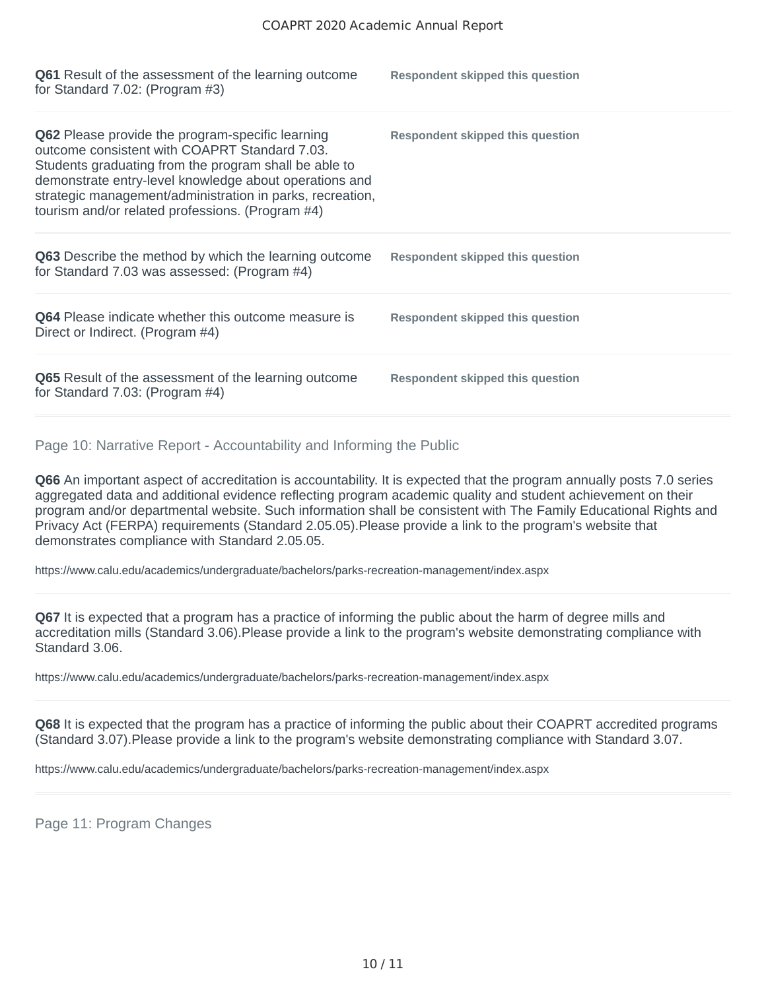| <b>Q61</b> Result of the assessment of the learning outcome<br>for Standard 7.02: (Program $#3$ )                                                                                                                                                                                                                                            | <b>Respondent skipped this question</b> |
|----------------------------------------------------------------------------------------------------------------------------------------------------------------------------------------------------------------------------------------------------------------------------------------------------------------------------------------------|-----------------------------------------|
| <b>Q62</b> Please provide the program-specific learning<br>outcome consistent with COAPRT Standard 7.03.<br>Students graduating from the program shall be able to<br>demonstrate entry-level knowledge about operations and<br>strategic management/administration in parks, recreation,<br>tourism and/or related professions. (Program #4) | Respondent skipped this question        |
| <b>Q63</b> Describe the method by which the learning outcome<br>for Standard 7.03 was assessed: (Program #4)                                                                                                                                                                                                                                 | Respondent skipped this question        |
| Q64 Please indicate whether this outcome measure is<br>Direct or Indirect. (Program #4)                                                                                                                                                                                                                                                      | Respondent skipped this question        |
| <b>Q65</b> Result of the assessment of the learning outcome<br>for Standard 7.03: (Program $#4$ )                                                                                                                                                                                                                                            | Respondent skipped this question        |

Page 10: Narrative Report - Accountability and Informing the Public

**Q66** An important aspect of accreditation is accountability. It is expected that the program annually posts 7.0 series aggregated data and additional evidence reflecting program academic quality and student achievement on their program and/or departmental website. Such information shall be consistent with The Family Educational Rights and Privacy Act (FERPA) requirements (Standard 2.05.05).Please provide a link to the program's website that demonstrates compliance with Standard 2.05.05.

https://www.calu.edu/academics/undergraduate/bachelors/parks-recreation-management/index.aspx

**Q67** It is expected that a program has a practice of informing the public about the harm of degree mills and accreditation mills (Standard 3.06).Please provide a link to the program's website demonstrating compliance with Standard 3.06.

https://www.calu.edu/academics/undergraduate/bachelors/parks-recreation-management/index.aspx

**Q68** It is expected that the program has a practice of informing the public about their COAPRT accredited programs (Standard 3.07).Please provide a link to the program's website demonstrating compliance with Standard 3.07.

https://www.calu.edu/academics/undergraduate/bachelors/parks-recreation-management/index.aspx

Page 11: Program Changes